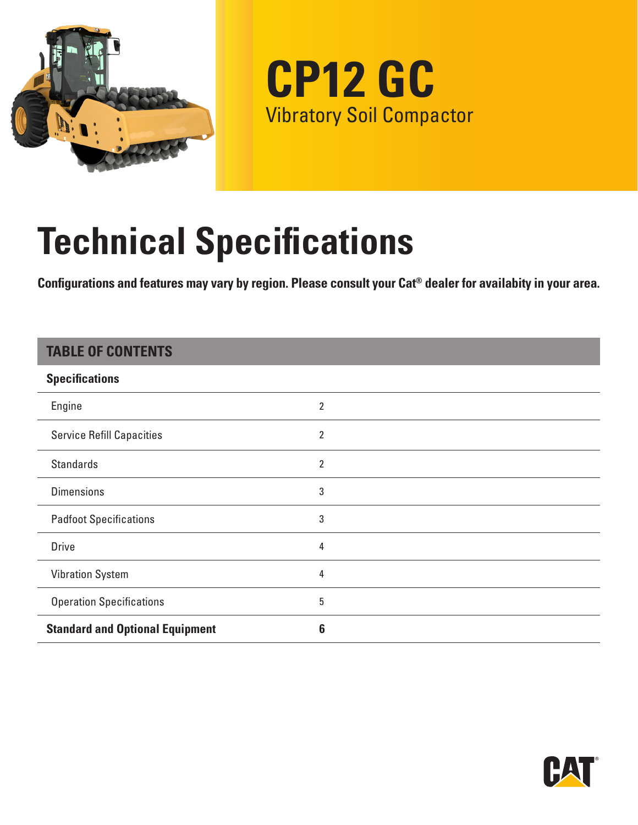

**CP12 GC** Vibratory Soil Compactor

# **Technical Specifications**

**Configurations and features may vary by region. Please consult your Cat® dealer for availabity in your area.**

### **TABLE OF CONTENTS**

| <b>Specifications</b>                  |                |
|----------------------------------------|----------------|
| Engine                                 | 2              |
| <b>Service Refill Capacities</b>       | 2              |
| <b>Standards</b>                       | $\overline{2}$ |
| <b>Dimensions</b>                      | 3              |
| <b>Padfoot Specifications</b>          | 3              |
| <b>Drive</b>                           | 4              |
| <b>Vibration System</b>                | 4              |
| <b>Operation Specifications</b>        | 5              |
| <b>Standard and Optional Equipment</b> | 6              |

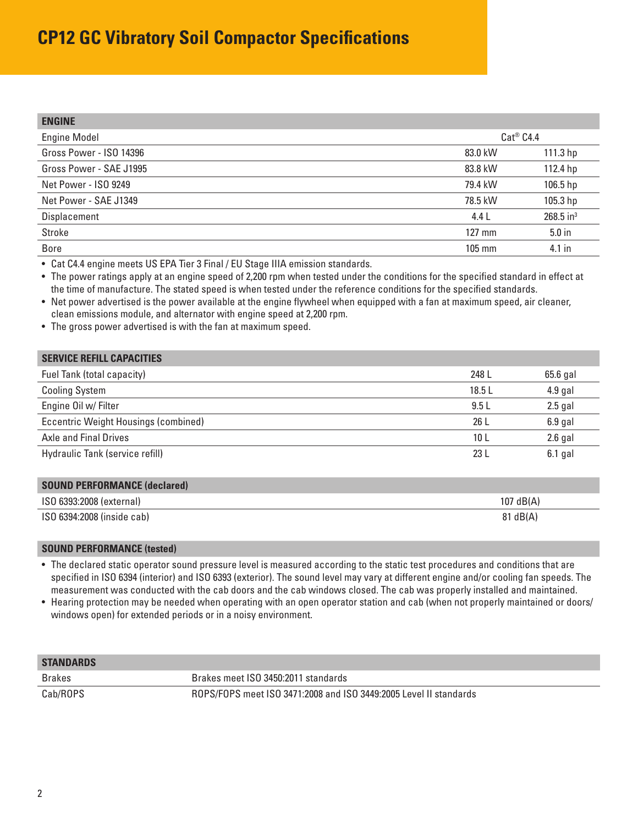## <span id="page-1-0"></span>**CP12 GC Vibratory Soil Compactor Specifications**

| <b>ENGINE</b>           |                  |                         |
|-------------------------|------------------|-------------------------|
| <b>Engine Model</b>     | $Cat^@$ $C4.4$   |                         |
| Gross Power - ISO 14396 | 83.0 kW          | 111.3 hp                |
| Gross Power - SAE J1995 | 83.8 kW          | 112.4 hp                |
| Net Power - ISO 9249    | 79.4 kW          | 106.5 hp                |
| Net Power - SAE J1349   | 78.5 kW          | 105.3 hp                |
| Displacement            | 4.4 L            | $268.5$ in <sup>3</sup> |
| Stroke                  | $127 \text{ mm}$ | $5.0$ in                |
| <b>Bore</b>             | 105 mm           | 4.1 in                  |

• Cat C4.4 engine meets US EPA Tier 3 Final / EU Stage IIIA emission standards.

• The power ratings apply at an engine speed of 2,200 rpm when tested under the conditions for the specified standard in effect at the time of manufacture. The stated speed is when tested under the reference conditions for the specified standards.

• Net power advertised is the power available at the engine flywheel when equipped with a fan at maximum speed, air cleaner, clean emissions module, and alternator with engine speed at 2,200 rpm.

• The gross power advertised is with the fan at maximum speed.

| <b>SERVICE REFILL CAPACITIES</b>     |       |           |
|--------------------------------------|-------|-----------|
| Fuel Tank (total capacity)           | 248 L | 65.6 gal  |
| <b>Cooling System</b>                | 18.5L | $4.9$ gal |
| Engine Oil w/ Filter                 | 9.5L  | $2.5$ gal |
| Eccentric Weight Housings (combined) | 26 L  | $6.9$ gal |
| Axle and Final Drives                | 10 L  | $2.6$ gal |
| Hydraulic Tank (service refill)      | 23L   | $6.1$ gal |

| <b>SOUND PERFORMANCE (declared)</b> |                    |
|-------------------------------------|--------------------|
| ISO 6393:2008 (external)            | $107$ dB(A)        |
| ISO 6394:2008 (inside cab)          | $81 \text{ dB}(A)$ |

#### **SOUND PERFORMANCE (tested)**

• The declared static operator sound pressure level is measured according to the static test procedures and conditions that are specified in ISO 6394 (interior) and ISO 6393 (exterior). The sound level may vary at different engine and/or cooling fan speeds. The measurement was conducted with the cab doors and the cab windows closed. The cab was properly installed and maintained.

• Hearing protection may be needed when operating with an open operator station and cab (when not properly maintained or doors/ windows open) for extended periods or in a noisy environment.

| <b>STANDARDS</b> |                                                                   |
|------------------|-------------------------------------------------------------------|
| Brakes           | Brakes meet ISO 3450:2011 standards                               |
| Cab/ROPS         | ROPS/FOPS meet ISO 3471:2008 and ISO 3449:2005 Level II standards |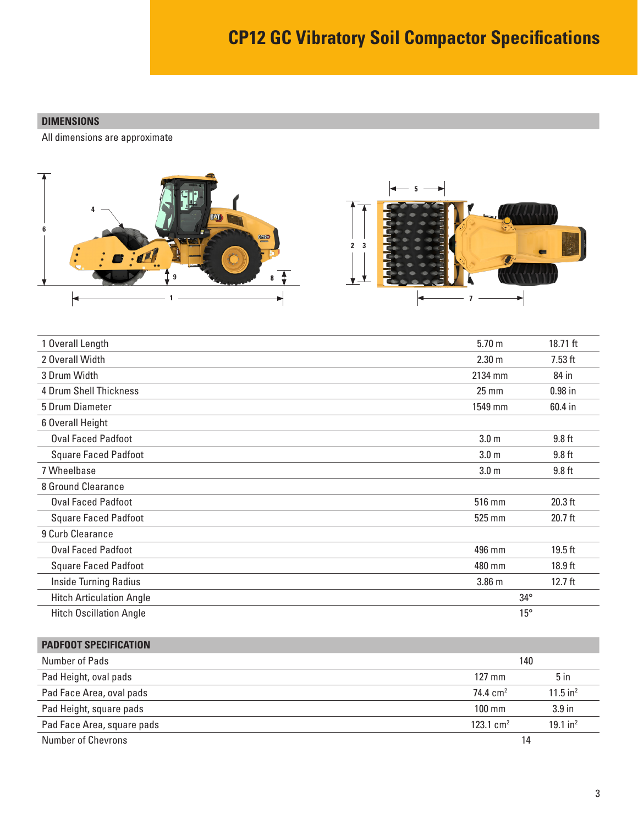#### <span id="page-2-0"></span>**DIMENSIONS**

All dimensions are approximate



| 1 Overall Length                | 5.70 <sub>m</sub> | 18.71 ft          |
|---------------------------------|-------------------|-------------------|
| 2 Overall Width                 | 2.30 <sub>m</sub> | $7.53$ ft         |
| 3 Drum Width                    | 2134 mm           | 84 in             |
| <b>4 Drum Shell Thickness</b>   | $25 \, \text{mm}$ | $0.98$ in         |
| 5 Drum Diameter                 | 1549 mm           | 60.4 in           |
| 6 Overall Height                |                   |                   |
| <b>Oval Faced Padfoot</b>       | 3.0 <sub>m</sub>  | $9.8$ ft          |
| <b>Square Faced Padfoot</b>     | 3.0 <sub>m</sub>  | $9.8$ ft          |
| 7 Wheelbase                     | 3.0 <sub>m</sub>  | 9.8 <sub>ft</sub> |
| 8 Ground Clearance              |                   |                   |
| <b>Oval Faced Padfoot</b>       | 516 mm            | 20.3 ft           |
| <b>Square Faced Padfoot</b>     | 525 mm            | $20.7$ ft         |
| 9 Curb Clearance                |                   |                   |
| <b>Oval Faced Padfoot</b>       | 496 mm            | $19.5$ ft         |
| <b>Square Faced Padfoot</b>     | 480 mm            | $18.9$ ft         |
| <b>Inside Turning Radius</b>    | 3.86 m            | $12.7$ ft         |
| <b>Hitch Articulation Angle</b> | $34^{\circ}$      |                   |
| <b>Hitch Oscillation Angle</b>  | $15^{\circ}$      |                   |

| <b>PADFOOT SPECIFICATION</b> |                      |                        |
|------------------------------|----------------------|------------------------|
| Number of Pads               | 140                  |                        |
| Pad Height, oval pads        | $127 \text{ mm}$     | $5$ in                 |
| Pad Face Area, oval pads     | 74.4 $cm2$           | $11.5$ in <sup>2</sup> |
| Pad Height, square pads      | $100 \text{ mm}$     | 3.9 <sub>in</sub>      |
| Pad Face Area, square pads   | $123.1 \text{ cm}^2$ | $19.1$ in <sup>2</sup> |
| Number of Chevrons           | 14                   |                        |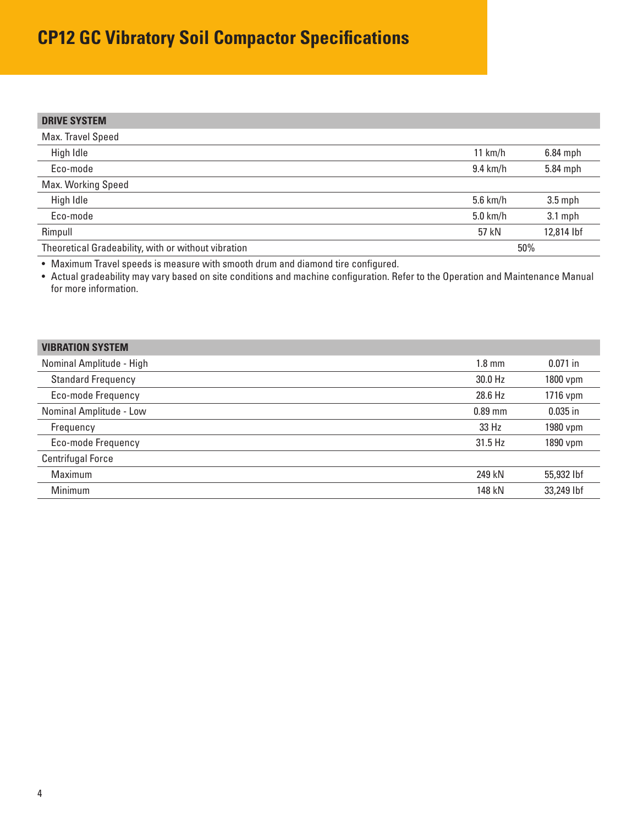## <span id="page-3-0"></span>**CP12 GC Vibratory Soil Compactor Specifications**

| <b>DRIVE SYSTEM</b>                                 |                    |            |
|-----------------------------------------------------|--------------------|------------|
| Max. Travel Speed                                   |                    |            |
| High Idle                                           | 11 $km/h$          | $6.84$ mph |
| Eco-mode                                            | $9.4 \text{ km/h}$ | 5.84 mph   |
| Max. Working Speed                                  |                    |            |
| High Idle                                           | $5.6$ km/h         | $3.5$ mph  |
| Eco-mode                                            | $5.0$ km/h         | $3.1$ mph  |
| Rimpull                                             | 57 kN              | 12,814 lbf |
| Theoretical Gradeability, with or without vibration |                    | 50%        |

• Maximum Travel speeds is measure with smooth drum and diamond tire configured.

• Actual gradeability may vary based on site conditions and machine configuration. Refer to the Operation and Maintenance Manual for more information.

| <b>VIBRATION SYSTEM</b>   |                  |            |
|---------------------------|------------------|------------|
| Nominal Amplitude - High  | $1.8 \text{ mm}$ | $0.071$ in |
| <b>Standard Frequency</b> | 30.0 Hz          | 1800 vpm   |
| Eco-mode Frequency        | 28.6 Hz          | 1716 vpm   |
| Nominal Amplitude - Low   | $0.89$ mm        | $0.035$ in |
| Frequency                 | 33 Hz            | 1980 vpm   |
| Eco-mode Frequency        | 31.5 Hz          | 1890 vpm   |
| <b>Centrifugal Force</b>  |                  |            |
| Maximum                   | 249 kN           | 55,932 lbf |
| Minimum                   | 148 kN           | 33,249 lbf |
|                           |                  |            |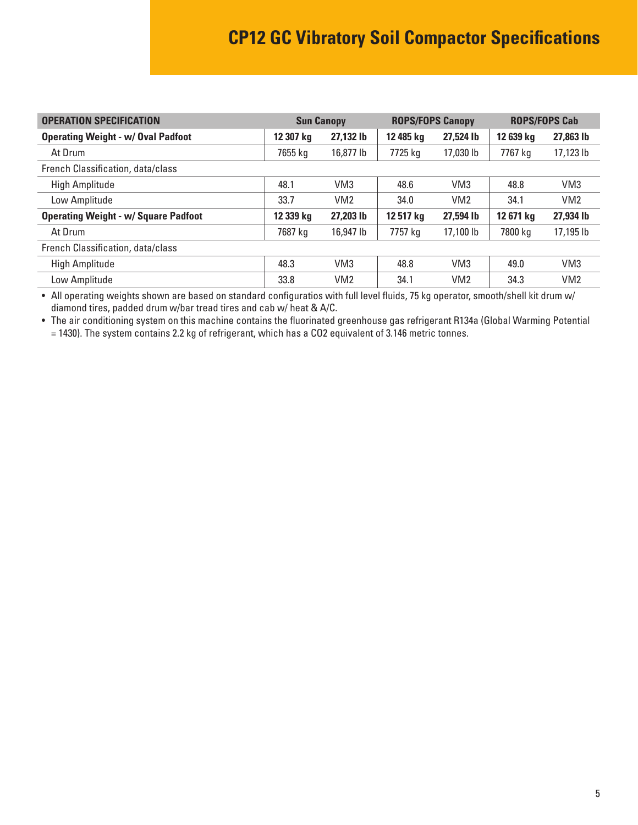<span id="page-4-0"></span>

| <b>OPERATION SPECIFICATION</b>              | <b>ROPS/FOPS Canopy</b><br><b>Sun Canopy</b> |                 | <b>ROPS/FOPS Cab</b> |                 |           |                 |
|---------------------------------------------|----------------------------------------------|-----------------|----------------------|-----------------|-----------|-----------------|
| <b>Operating Weight - w/ Oval Padfoot</b>   | 12 307 kg                                    | 27,132 lb       | 12 485 kg            | 27,524 lb       | 12 639 kg | 27,863 lb       |
| At Drum                                     | 7655 kg                                      | 16,877 lb       | 7725 kg              | 17,030 lb       | 7767 ka   | 17,123 lb       |
| French Classification, data/class           |                                              |                 |                      |                 |           |                 |
| High Amplitude                              | 48.1                                         | VM <sub>3</sub> | 48.6                 | VM <sub>3</sub> | 48.8      | VM <sub>3</sub> |
| Low Amplitude                               | 33.7                                         | VM <sub>2</sub> | 34.0                 | VM <sub>2</sub> | 34.1      | VM2             |
| <b>Operating Weight - w/ Square Padfoot</b> | 12 339 kg                                    | 27,203 lb       | 12 517 kg            | 27,594 lb       | 12 671 kg | 27,934 lb       |
| At Drum                                     | 7687 ka                                      | 16,947 lb       | 7757 kg              | 17.100 lb       | 7800 ka   | 17,195 lb       |
| French Classification, data/class           |                                              |                 |                      |                 |           |                 |
| High Amplitude                              | 48.3                                         | VM <sub>3</sub> | 48.8                 | VM <sub>3</sub> | 49.0      | VM <sub>3</sub> |
| Low Amplitude                               | 33.8                                         | VM <sub>2</sub> | 34.1                 | VM <sub>2</sub> | 34.3      | VM <sub>2</sub> |

• All operating weights shown are based on standard configuratios with full level fluids, 75 kg operator, smooth/shell kit drum w/ diamond tires, padded drum w/bar tread tires and cab w/ heat & A/C.

• The air conditioning system on this machine contains the fluorinated greenhouse gas refrigerant R134a (Global Warming Potential

= 1430). The system contains 2.2 kg of refrigerant, which has a CO2 equivalent of 3.146 metric tonnes.